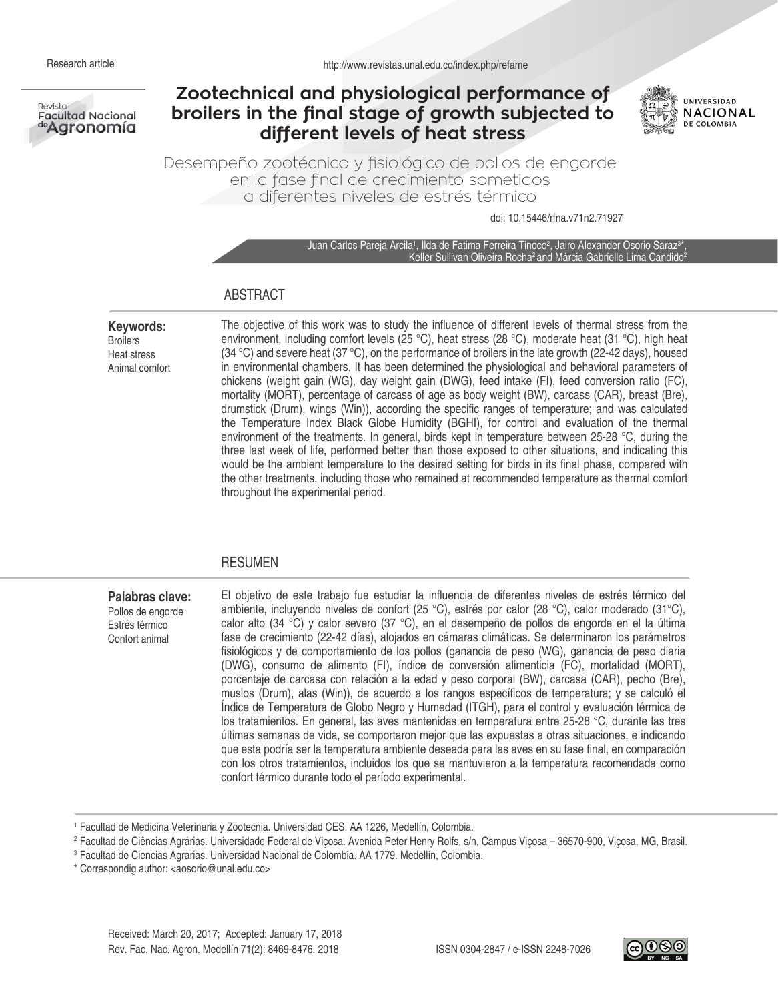

# **Zootechnical and physiological performance of broilers in the final stage of growth subjected to different levels of heat stress**



Desempeño zootécnico y fisiológico de pollos de engorde en la fase final de crecimiento sometidos a diferentes niveles de estrés térmico

doi: 10.15446/rfna.v71n2.71927

Juan Carlos Pareja Arcila1, Ilda de Fatima Ferreira Tinoco<sup>2</sup>, Jairo Alexander Osorio Saraz<sup>3\*</sup>, Keller Sullivan Oliveira Rocha<sup>2</sup> and Márcia Gabrielle Lima Candido<sup>2</sup>

## ABSTRACT

**Keywords: Broilers** Heat stress Animal comfort The objective of this work was to study the influence of different levels of thermal stress from the environment, including comfort levels (25 °C), heat stress (28 °C), moderate heat (31 °C), high heat (34 °C) and severe heat (37 °C), on the performance of broilers in the late growth (22-42 days), housed in environmental chambers. It has been determined the physiological and behavioral parameters of chickens (weight gain (WG), day weight gain (DWG), feed intake (FI), feed conversion ratio (FC), mortality (MORT), percentage of carcass of age as body weight (BW), carcass (CAR), breast (Bre), drumstick (Drum), wings (Win)), according the specific ranges of temperature; and was calculated the Temperature Index Black Globe Humidity (BGHI), for control and evaluation of the thermal environment of the treatments. In general, birds kept in temperature between 25-28 °C, during the three last week of life, performed better than those exposed to other situations, and indicating this would be the ambient temperature to the desired setting for birds in its final phase, compared with the other treatments, including those who remained at recommended temperature as thermal comfort throughout the experimental period.

#### RESUMEN

| Palabras clave:                     | El objetivo de este trabajo fue estudiar la influencia de diferentes niveles de estrés térmico del                                                                                                    |
|-------------------------------------|-------------------------------------------------------------------------------------------------------------------------------------------------------------------------------------------------------|
| Pollos de engorde<br>Estrés térmico | ambiente, incluyendo niveles de confort (25 °C), estrés por calor (28 °C), calor moderado (31 °C),<br>calor alto (34 °C) y calor severo (37 °C), en el desempeño de pollos de engorde en el la última |
| Confort animal                      | fase de crecimiento (22-42 días), alojados en cámaras climáticas. Se determinaron los parámetros                                                                                                      |
|                                     | fisiológicos y de comportamiento de los pollos (ganancia de peso (WG), ganancia de peso diaria                                                                                                        |
|                                     | (DWG), consumo de alimento (FI), índice de conversión alimenticia (FC), mortalidad (MORT),                                                                                                            |
|                                     | porcentaje de carcasa con relación a la edad y peso corporal (BW), carcasa (CAR), pecho (Bre),                                                                                                        |
|                                     | muslos (Drum), alas (Win)), de acuerdo a los rangos específicos de temperatura; y se calculó el                                                                                                       |
|                                     | Indice de Temperatura de Globo Negro y Humedad (ITGH), para el control y evaluación térmica de                                                                                                        |
|                                     | los tratamientos. En general, las aves mantenidas en temperatura entre 25-28 °C, durante las tres                                                                                                     |
|                                     | últimas semanas de vida, se comportaron mejor que las expuestas a otras situaciones, e indicando                                                                                                      |
|                                     | que esta podría ser la temperatura ambiente deseada para las aves en su fase final, en comparación                                                                                                    |
|                                     | con los otros tratamientos, incluidos los que se mantuvieron a la temperatura recomendada como                                                                                                        |
|                                     | confort térmico durante todo el período experimental.                                                                                                                                                 |

<sup>&</sup>lt;sup>1</sup> Facultad de Medicina Veterinaria y Zootecnia. Universidad CES. AA 1226, Medellín, Colombia.

3 Facultad de Ciencias Agrarias. Universidad Nacional de Colombia. AA 1779. Medellín, Colombia.

\* Correspondig author: <aosorio@unal.edu.co>



<sup>2</sup> Facultad de Ciências Agrárias. Universidade Federal de Viçosa. Avenida Peter Henry Rolfs, s/n, Campus Viçosa – 36570-900, Viçosa, MG, Brasil.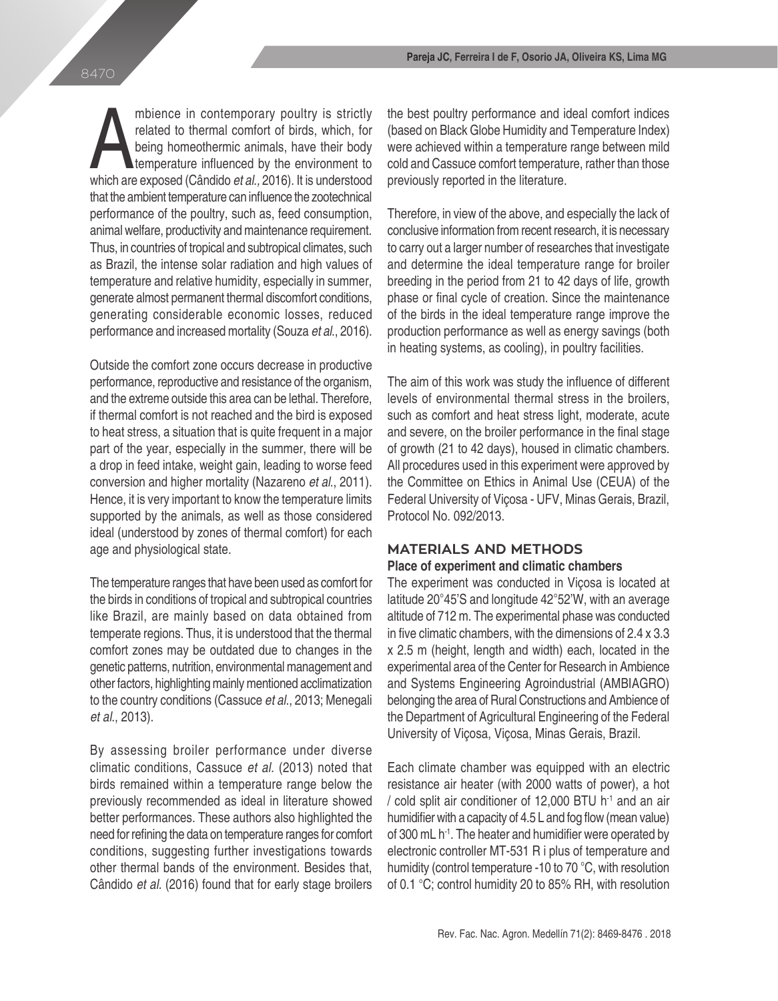mbience in contemporary poultry is strictly<br>related to thermal comfort of birds, which, for<br>being homeothermic animals, have their body<br>temperature influenced by the environment to<br>which are exposed (Cândido *et al.,* 2016 mbience in contemporary poultry is strictly related to thermal comfort of birds, which, for being homeothermic animals, have their body temperature influenced by the environment to that the ambient temperature can influence the zootechnical performance of the poultry, such as, feed consumption, animal welfare, productivity and maintenance requirement. Thus, in countries of tropical and subtropical climates, such as Brazil, the intense solar radiation and high values of temperature and relative humidity, especially in summer, generate almost permanent thermal discomfort conditions, generating considerable economic losses, reduced performance and increased mortality (Souza *et al*., 2016).

Outside the comfort zone occurs decrease in productive performance, reproductive and resistance of the organism, and the extreme outside this area can be lethal. Therefore, if thermal comfort is not reached and the bird is exposed to heat stress, a situation that is quite frequent in a major part of the year, especially in the summer, there will be a drop in feed intake, weight gain, leading to worse feed conversion and higher mortality (Nazareno *et al*., 2011). Hence, it is very important to know the temperature limits supported by the animals, as well as those considered ideal (understood by zones of thermal comfort) for each age and physiological state.

The temperature ranges that have been used as comfort for the birds in conditions of tropical and subtropical countries like Brazil, are mainly based on data obtained from temperate regions. Thus, it is understood that the thermal comfort zones may be outdated due to changes in the genetic patterns, nutrition, environmental management and other factors, highlighting mainly mentioned acclimatization to the country conditions (Cassuce *et al*., 2013; Menegali *et al*., 2013).

By assessing broiler performance under diverse climatic conditions, Cassuce *et al.* (2013) noted that birds remained within a temperature range below the previously recommended as ideal in literature showed better performances. These authors also highlighted the need for refining the data on temperature ranges for comfort conditions, suggesting further investigations towards other thermal bands of the environment. Besides that, Cândido *et al.* (2016) found that for early stage broilers the best poultry performance and ideal comfort indices (based on Black Globe Humidity and Temperature Index) were achieved within a temperature range between mild cold and Cassuce comfort temperature, rather than those previously reported in the literature.

Therefore, in view of the above, and especially the lack of conclusive information from recent research, it is necessary to carry out a larger number of researches that investigate and determine the ideal temperature range for broiler breeding in the period from 21 to 42 days of life, growth phase or final cycle of creation. Since the maintenance of the birds in the ideal temperature range improve the production performance as well as energy savings (both in heating systems, as cooling), in poultry facilities.

The aim of this work was study the influence of different levels of environmental thermal stress in the broilers, such as comfort and heat stress light, moderate, acute and severe, on the broiler performance in the final stage of growth (21 to 42 days), housed in climatic chambers. All procedures used in this experiment were approved by the Committee on Ethics in Animal Use (CEUA) of the Federal University of Viçosa - UFV, Minas Gerais, Brazil, Protocol No. 092/2013.

## **MATERIALS AND METHODS Place of experiment and climatic chambers**

The experiment was conducted in Viçosa is located at latitude 20°45'S and longitude 42°52'W, with an average altitude of 712 m. The experimental phase was conducted in five climatic chambers, with the dimensions of 2.4 x 3.3 x 2.5 m (height, length and width) each, located in the experimental area of the Center for Research in Ambience and Systems Engineering Agroindustrial (AMBIAGRO) belonging the area of Rural Constructions and Ambience of the Department of Agricultural Engineering of the Federal University of Viçosa, Viçosa, Minas Gerais, Brazil.

Each climate chamber was equipped with an electric resistance air heater (with 2000 watts of power), a hot / cold split air conditioner of 12,000 BTU h-1 and an air humidifier with a capacity of 4.5 L and fog flow (mean value) of 300 mL h-1. The heater and humidifier were operated by electronic controller MT-531 R i plus of temperature and humidity (control temperature -10 to 70 °C, with resolution of 0.1 °C; control humidity 20 to 85% RH, with resolution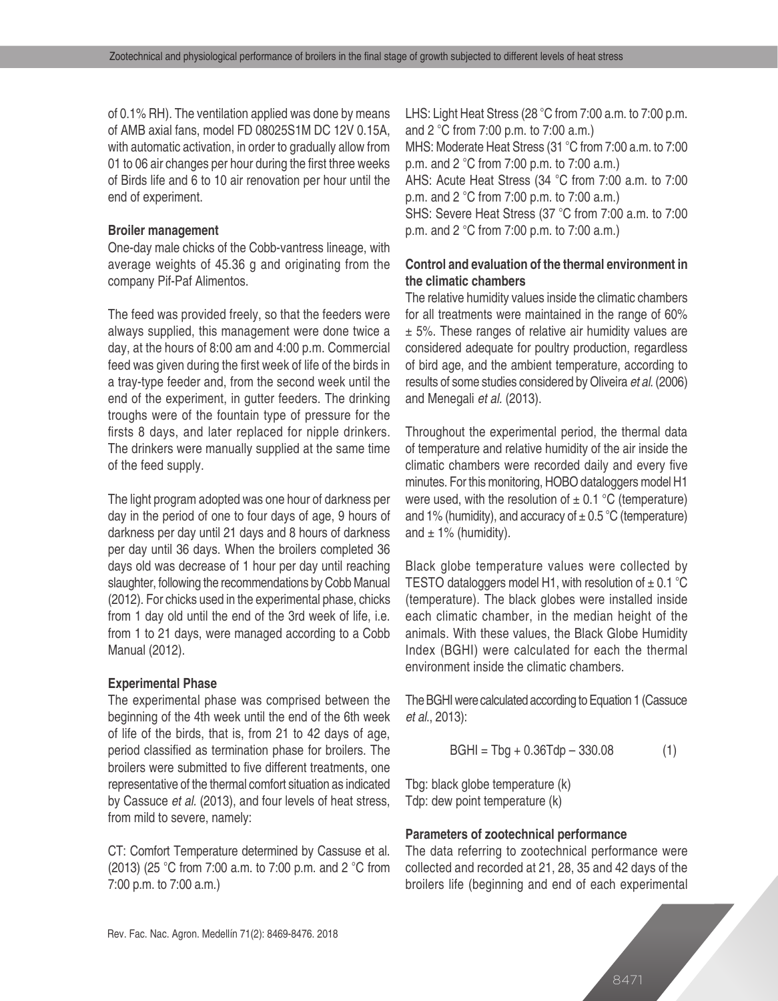of 0.1% RH). The ventilation applied was done by means of AMB axial fans, model FD 08025S1M DC 12V 0.15A, with automatic activation, in order to gradually allow from 01 to 06 air changes per hour during the first three weeks of Birds life and 6 to 10 air renovation per hour until the end of experiment.

## **Broiler management**

One-day male chicks of the Cobb-vantress lineage, with average weights of 45.36 g and originating from the company Pif-Paf Alimentos.

The feed was provided freely, so that the feeders were always supplied, this management were done twice a day, at the hours of 8:00 am and 4:00 p.m. Commercial feed was given during the first week of life of the birds in a tray-type feeder and, from the second week until the end of the experiment, in gutter feeders. The drinking troughs were of the fountain type of pressure for the firsts 8 days, and later replaced for nipple drinkers. The drinkers were manually supplied at the same time of the feed supply.

The light program adopted was one hour of darkness per day in the period of one to four days of age, 9 hours of darkness per day until 21 days and 8 hours of darkness per day until 36 days. When the broilers completed 36 days old was decrease of 1 hour per day until reaching slaughter, following the recommendations by Cobb Manual (2012). For chicks used in the experimental phase, chicks from 1 day old until the end of the 3rd week of life, i.e. from 1 to 21 days, were managed according to a Cobb Manual (2012).

## **Experimental Phase**

The experimental phase was comprised between the beginning of the 4th week until the end of the 6th week of life of the birds, that is, from 21 to 42 days of age, period classified as termination phase for broilers. The broilers were submitted to five different treatments, one representative of the thermal comfort situation as indicated by Cassuce *et al.* (2013), and four levels of heat stress, from mild to severe, namely:

CT: Comfort Temperature determined by Cassuse et al. (2013) (25 °C from 7:00 a.m. to 7:00 p.m. and 2 °C from 7:00 p.m. to 7:00 a.m.)

LHS: Light Heat Stress (28 °C from 7:00 a.m. to 7:00 p.m. and 2 °C from 7:00 p.m. to 7:00 a.m.) MHS: Moderate Heat Stress (31 °C from 7:00 a.m. to 7:00 p.m. and 2 °C from 7:00 p.m. to 7:00 a.m.) AHS: Acute Heat Stress (34 °C from 7:00 a.m. to 7:00 p.m. and 2 °C from 7:00 p.m. to 7:00 a.m.) SHS: Severe Heat Stress (37 °C from 7:00 a.m. to 7:00

p.m. and 2 °C from 7:00 p.m. to 7:00 a.m.)

# **Control and evaluation of the thermal environment in the climatic chambers**

The relative humidity values inside the climatic chambers for all treatments were maintained in the range of 60% ± 5%. These ranges of relative air humidity values are considered adequate for poultry production, regardless of bird age, and the ambient temperature, according to results of some studies considered by Oliveira *et al*. (2006) and Menegali *et al.* (2013).

Throughout the experimental period, the thermal data of temperature and relative humidity of the air inside the climatic chambers were recorded daily and every five minutes. For this monitoring, HOBO dataloggers model H1 were used, with the resolution of  $\pm$  0.1 °C (temperature) and 1% (humidity), and accuracy of  $\pm$  0.5 °C (temperature) and  $\pm$  1% (humidity).

Black globe temperature values were collected by TESTO dataloggers model H1, with resolution of  $\pm$  0.1 °C (temperature). The black globes were installed inside each climatic chamber, in the median height of the animals. With these values, the Black Globe Humidity Index (BGHI) were calculated for each the thermal environment inside the climatic chambers.

The BGHI were calculated according to Equation 1 (Cassuce *et al*., 2013):

$$
BGHI = Tbg + 0.36Tdp - 330.08
$$
 (1)

Tbg: black globe temperature (k) Tdp: dew point temperature (k)

## **Parameters of zootechnical performance**

The data referring to zootechnical performance were collected and recorded at 21, 28, 35 and 42 days of the broilers life (beginning and end of each experimental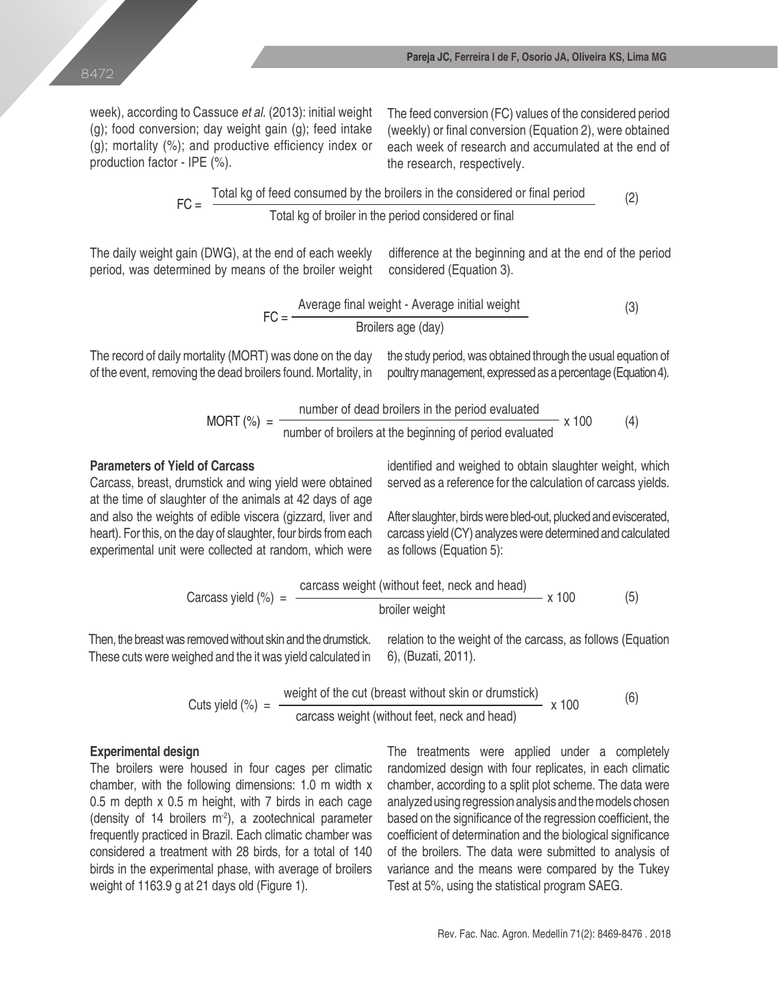week), according to Cassuce *et al*. (2013): initial weight (g); food conversion; day weight gain (g); feed intake (g); mortality (%); and productive efficiency index or production factor - IPE (%).

The feed conversion (FC) values of the considered period (weekly) or final conversion (Equation 2), were obtained each week of research and accumulated at the end of the research, respectively.

$$
FC = \frac{\text{Total kg of feed consumed by the broilers in the considered or final period}}{\text{Total kg of broiler in the period considered or final}}
$$
 (2)

The daily weight gain (DWG), at the end of each weekly period, was determined by means of the broiler weight

difference at the beginning and at the end of the period considered (Equation 3).

$$
FC = \frac{\text{Average final weight - Average initial weight}}{\text{Broilers age (day)}}
$$
(3)

The record of daily mortality (MORT) was done on the day of the event, removing the dead broilers found. Mortality, in the study period, was obtained through the usual equation of poultry management, expressed as a percentage (Equation 4).

$$
MORT (%) = \frac{number of dead broilers in the period evaluated}{number of broilers at the beginning of period evaluated} \times 100 \tag{4}
$$

## **Parameters of Yield of Carcass**

Carcass, breast, drumstick and wing yield were obtained at the time of slaughter of the animals at 42 days of age and also the weights of edible viscera (gizzard, liver and heart). For this, on the day of slaughter, four birds from each experimental unit were collected at random, which were identified and weighed to obtain slaughter weight, which served as a reference for the calculation of carcass yields.

After slaughter, birds were bled-out, plucked and eviscerated, carcass yield (CY) analyzes were determined and calculated as follows (Equation 5):

Carcass yield 
$$
(\%) = \frac{\text{carcass weight (without feet, neck and head)}}{\text{broiler weight}} \times 100
$$
 (5)

\ns removed without skin and the drumstick. relation to the weight of the carcass, as follows (Equation 10)

Then, the breast was These cuts were weighed and the it was yield calculated in 6), (Buzati, 2011).

relation to the weight of the carcass, as follows (Equation

Cuts yield 
$$
(\%) = \frac{\text{weight of the cut (break without skin or drumstick)}}{\text{carcass weight (without feet, neck and head)}} \times 100
$$
 (6)

#### **Experimental design**

The broilers were housed in four cages per climatic chamber, with the following dimensions: 1.0 m width x 0.5 m depth x 0.5 m height, with 7 birds in each cage (density of 14 broilers  $m<sup>2</sup>$ ), a zootechnical parameter frequently practiced in Brazil. Each climatic chamber was considered a treatment with 28 birds, for a total of 140 birds in the experimental phase, with average of broilers weight of 1163.9 g at 21 days old (Figure 1).

The treatments were applied under a completely randomized design with four replicates, in each climatic chamber, according to a split plot scheme. The data were analyzed using regression analysis and the models chosen based on the significance of the regression coefficient, the coefficient of determination and the biological significance of the broilers. The data were submitted to analysis of variance and the means were compared by the Tukey Test at 5%, using the statistical program SAEG.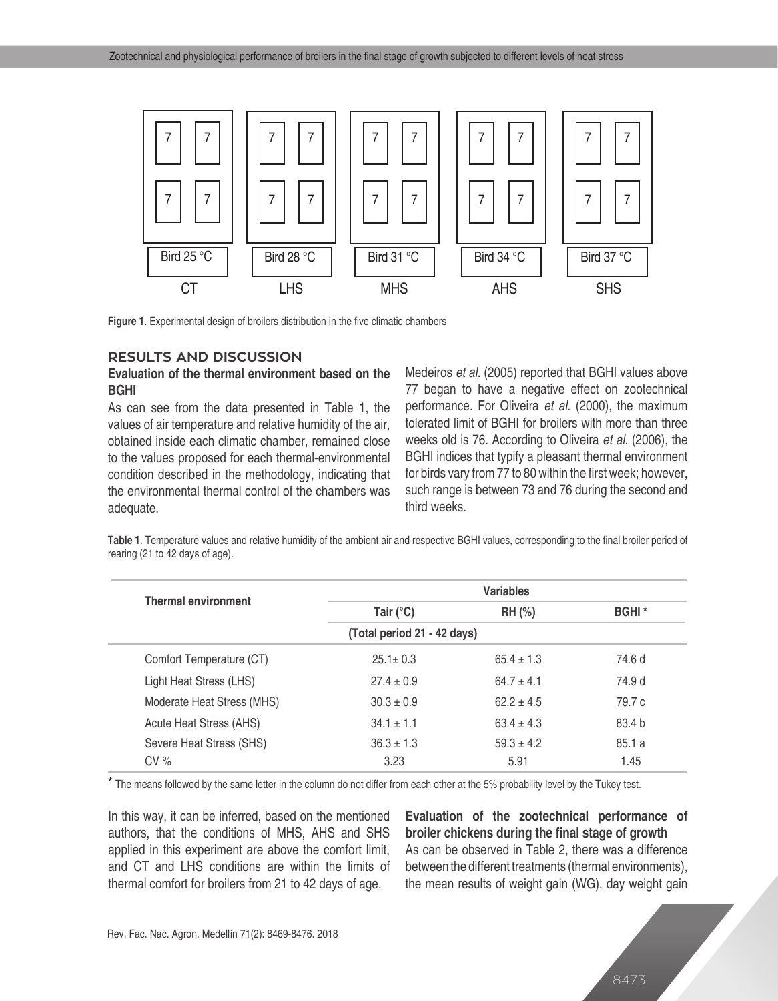

**Figure 1**. Experimental design of broilers distribution in the five climatic chambers

## **RESULTS AND DISCUSSION**

## **Evaluation of the thermal environment based on the BGHI**

As can see from the data presented in Table 1, the values of air temperature and relative humidity of the air, obtained inside each climatic chamber, remained close to the values proposed for each thermal-environmental condition described in the methodology, indicating that the environmental thermal control of the chambers was adequate.

Medeiros *et al*. (2005) reported that BGHI values above 77 began to have a negative effect on zootechnical performance. For Oliveira *et al*. (2000), the maximum tolerated limit of BGHI for broilers with more than three weeks old is 76. According to Oliveira *et al.* (2006), the BGHI indices that typify a pleasant thermal environment for birds vary from 77 to 80 within the first week; however, such range is between 73 and 76 during the second and third weeks.

**Table 1**. Temperature values and relative humidity of the ambient air and respective BGHI values, corresponding to the final broiler period of rearing (21 to 42 days of age).

| <b>Thermal environment</b> | Tair $(^{\circ}C)$          | RH (%)         | <b>BGHI</b> * |  |
|----------------------------|-----------------------------|----------------|---------------|--|
|                            | (Total period 21 - 42 days) |                |               |  |
| Comfort Temperature (CT)   | $25.1 \pm 0.3$              | $65.4 \pm 1.3$ | 74.6 d        |  |
| Light Heat Stress (LHS)    | $27.4 \pm 0.9$              | $64.7 \pm 4.1$ | 74.9 d        |  |
| Moderate Heat Stress (MHS) | $30.3 \pm 0.9$              | $62.2 \pm 4.5$ | 79.7 c        |  |
| Acute Heat Stress (AHS)    | $34.1 \pm 1.1$              | $63.4 \pm 4.3$ | 83.4 b        |  |
| Severe Heat Stress (SHS)   | $36.3 \pm 1.3$              | $59.3 \pm 4.2$ | 85.1a         |  |
| CV%                        | 3.23                        | 5.91           | 1.45          |  |

\* The means followed by the same letter in the column do not differ from each other at the 5% probability level by the Tukey test.

In this way, it can be inferred, based on the mentioned authors, that the conditions of MHS, AHS and SHS applied in this experiment are above the comfort limit, and CT and LHS conditions are within the limits of thermal comfort for broilers from 21 to 42 days of age.

**Evaluation of the zootechnical performance of broiler chickens during the final stage of growth** As can be observed in Table 2, there was a difference between the different treatments (thermal environments), the mean results of weight gain (WG), day weight gain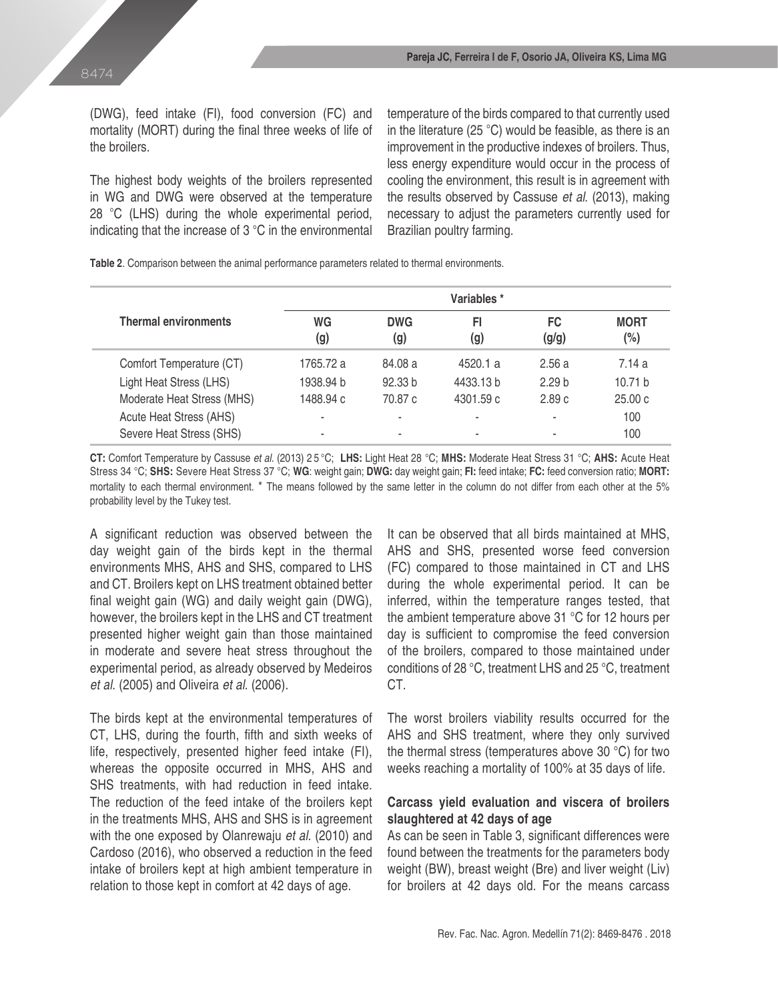# 8474

(DWG), feed intake (FI), food conversion (FC) and mortality (MORT) during the final three weeks of life of the broilers.

The highest body weights of the broilers represented in WG and DWG were observed at the temperature 28 °C (LHS) during the whole experimental period, indicating that the increase of 3 °C in the environmental temperature of the birds compared to that currently used in the literature (25 °C) would be feasible, as there is an improvement in the productive indexes of broilers. Thus, less energy expenditure would occur in the process of cooling the environment, this result is in agreement with the results observed by Cassuse *et al*. (2013), making necessary to adjust the parameters currently used for Brazilian poultry farming.

| Table 2. Comparison between the animal performance parameters related to thermal environments. |  |
|------------------------------------------------------------------------------------------------|--|
|------------------------------------------------------------------------------------------------|--|

|                                                     | Variables *                                          |                                                      |                                                      |                               |                       |  |
|-----------------------------------------------------|------------------------------------------------------|------------------------------------------------------|------------------------------------------------------|-------------------------------|-----------------------|--|
| <b>Thermal environments</b>                         | WG<br>(g)                                            | <b>DWG</b><br>(g)                                    | FI<br>(g)                                            | FC<br>(g/g)                   | <b>MORT</b><br>$(\%)$ |  |
| Comfort Temperature (CT)                            | 1765.72 a                                            | 84.08 a                                              | 4520.1 a                                             | 2.56a                         | 7.14 a                |  |
| Light Heat Stress (LHS)                             | 1938.94 b                                            | 92.33 b                                              | 4433.13 b                                            | 2.29h                         | 10.71 b               |  |
| Moderate Heat Stress (MHS)                          | 1488.94 c                                            | 70.87 c                                              | 4301.59c                                             | 2.89c                         | 25.00c                |  |
| Acute Heat Stress (AHS)<br>Severe Heat Stress (SHS) | $\overline{\phantom{a}}$<br>$\overline{\phantom{a}}$ | $\overline{\phantom{a}}$<br>$\overline{\phantom{a}}$ | $\overline{\phantom{a}}$<br>$\overline{\phantom{a}}$ | $\overline{\phantom{a}}$<br>۰ | 100<br>100            |  |

**CT:** Comfort Temperature by Cassuse *et al*. (2013) 2 5 °C; **LHS:** Light Heat 28 °C; **MHS:** Moderate Heat Stress 31 °C; **AHS:** Acute Heat Stress 34 °C; **SHS:** Severe Heat Stress 37 °C; **WG**: weight gain; **DWG:** day weight gain; **FI:** feed intake; **FC:** feed conversion ratio; **MORT:**  mortality to each thermal environment. \* The means followed by the same letter in the column do not differ from each other at the 5% probability level by the Tukey test.

A significant reduction was observed between the day weight gain of the birds kept in the thermal environments MHS, AHS and SHS, compared to LHS and CT. Broilers kept on LHS treatment obtained better final weight gain (WG) and daily weight gain (DWG), however, the broilers kept in the LHS and CT treatment presented higher weight gain than those maintained in moderate and severe heat stress throughout the experimental period, as already observed by Medeiros *et al*. (2005) and Oliveira *et al*. (2006).

The birds kept at the environmental temperatures of CT, LHS, during the fourth, fifth and sixth weeks of life, respectively, presented higher feed intake (FI), whereas the opposite occurred in MHS, AHS and SHS treatments, with had reduction in feed intake. The reduction of the feed intake of the broilers kept in the treatments MHS, AHS and SHS is in agreement with the one exposed by Olanrewaju *et al*. (2010) and Cardoso (2016), who observed a reduction in the feed intake of broilers kept at high ambient temperature in relation to those kept in comfort at 42 days of age.

It can be observed that all birds maintained at MHS, AHS and SHS, presented worse feed conversion (FC) compared to those maintained in CT and LHS during the whole experimental period. It can be inferred, within the temperature ranges tested, that the ambient temperature above 31 °C for 12 hours per day is sufficient to compromise the feed conversion of the broilers, compared to those maintained under conditions of 28 °C, treatment LHS and 25 °C, treatment CT.

The worst broilers viability results occurred for the AHS and SHS treatment, where they only survived the thermal stress (temperatures above 30 °C) for two weeks reaching a mortality of 100% at 35 days of life.

## **Carcass yield evaluation and viscera of broilers slaughtered at 42 days of age**

As can be seen in Table 3, significant differences were found between the treatments for the parameters body weight (BW), breast weight (Bre) and liver weight (Liv) for broilers at 42 days old. For the means carcass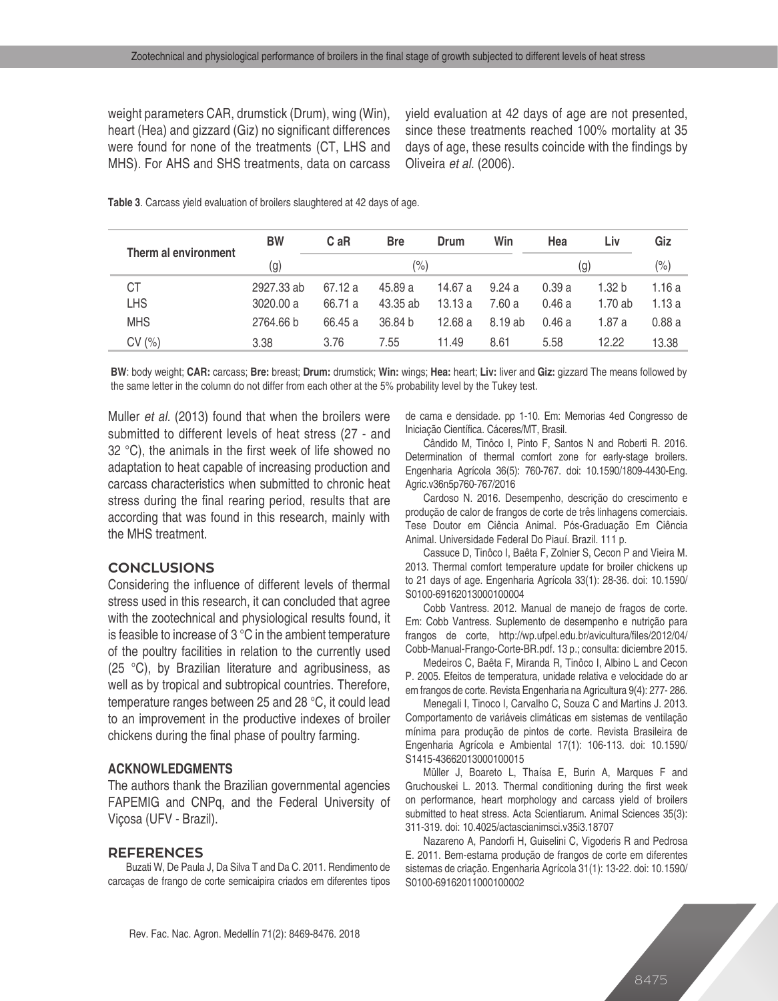weight parameters CAR, drumstick (Drum), wing (Win), heart (Hea) and gizzard (Giz) no significant differences were found for none of the treatments (CT, LHS and MHS). For AHS and SHS treatments, data on carcass

yield evaluation at 42 days of age are not presented, since these treatments reached 100% mortality at 35 days of age, these results coincide with the findings by Oliveira *et al*. (2006).

|  | Therm al environment | <b>BW</b>  | $C$ aR  | <b>Bre</b> | Drum    | Win     | Hea    | Liv     | Giz    |
|--|----------------------|------------|---------|------------|---------|---------|--------|---------|--------|
|  |                      | (g)        | (%)     |            |         | (g)     |        | (%)     |        |
|  | СT                   | 2927.33 ab | 67.12 a | 45.89 a    | 14.67 a | 9.24a   | 0.39 a | 1.32 b  | 1.16 a |
|  | <b>LHS</b>           | 3020.00 a  | 66.71 a | 43.35 ab   | 13.13 a | 7.60 a  | 0.46a  | 1.70 ab | 1.13a  |
|  | <b>MHS</b>           | 2764.66 b  | 66.45 a | 36.84 b    | 12.68a  | 8.19 ab | 0.46a  | 1.87 a  | 0.88a  |
|  | CV(%)                | 3.38       | 3.76    | 7.55       | 11.49   | 8.61    | 5.58   | 12.22   | 13.38  |

**Table 3**. Carcass yield evaluation of broilers slaughtered at 42 days of age.

**BW**: body weight; **CAR:** carcass; **Bre:** breast; **Drum:** drumstick; **Win:** wings; **Hea:** heart; **Liv:** liver and **Giz:** gizzard The means followed by the same letter in the column do not differ from each other at the 5% probability level by the Tukey test.

Muller *et al.* (2013) found that when the broilers were submitted to different levels of heat stress (27 - and 32 °C), the animals in the first week of life showed no adaptation to heat capable of increasing production and carcass characteristics when submitted to chronic heat stress during the final rearing period, results that are according that was found in this research, mainly with the MHS treatment.

#### **CONCLUSIONS**

Considering the influence of different levels of thermal stress used in this research, it can concluded that agree with the zootechnical and physiological results found, it is feasible to increase of 3 °C in the ambient temperature of the poultry facilities in relation to the currently used (25 °C), by Brazilian literature and agribusiness, as well as by tropical and subtropical countries. Therefore, temperature ranges between 25 and 28 °C, it could lead to an improvement in the productive indexes of broiler chickens during the final phase of poultry farming.

#### **ACKNOWLEDGMENTS**

The authors thank the Brazilian governmental agencies FAPEMIG and CNPq, and the Federal University of Viçosa (UFV - Brazil).

#### **REFERENCES**

Buzati W, De Paula J, Da Silva T and Da C. 2011. Rendimento de carcaças de frango de corte semicaipira criados em diferentes tipos de cama e densidade. pp 1-10. Em: Memorias 4ed Congresso de Iniciação Científica. Cáceres/MT, Brasil.

Cândido M, Tinôco I, Pinto F, Santos N and Roberti R. 2016. Determination of thermal comfort zone for early-stage broilers. Engenharia Agrícola 36(5): 760-767. doi: 10.1590/1809-4430-Eng. Agric.v36n5p760-767/2016

Cardoso N. 2016. Desempenho, descrição do crescimento e produção de calor de frangos de corte de três linhagens comerciais. Tese Doutor em Ciência Animal. Pós-Graduação Em Ciência Animal. Universidade Federal Do Piauí. Brazil. 111 p.

Cassuce D, Tinôco I, Baêta F, Zolnier S, Cecon P and Vieira M. 2013. Thermal comfort temperature update for broiler chickens up to 21 days of age. Engenharia Agrícola 33(1): 28-36. doi: 10.1590/ S0100-69162013000100004

Cobb Vantress. 2012. Manual de manejo de fragos de corte. Em: Cobb Vantress. Suplemento de desempenho e nutrição para frangos de corte, http://wp.ufpel.edu.br/avicultura/files/2012/04/ Cobb-Manual-Frango-Corte-BR.pdf. 13 p.; consulta: diciembre 2015.

Medeiros C, Baêta F, Miranda R, Tinôco I, Albino L and Cecon P. 2005. Efeitos de temperatura, unidade relativa e velocidade do ar em frangos de corte. Revista Engenharia na Agricultura 9(4): 277- 286.

Menegali I, Tinoco I, Carvalho C, Souza C and Martins J. 2013. Comportamento de variáveis climáticas em sistemas de ventilação mínima para produção de pintos de corte. Revista Brasileira de Engenharia Agrícola e Ambiental 17(1): 106-113. doi: 10.1590/ S1415-43662013000100015

Müller J, Boareto L, Thaísa E, Burin A, Marques F and Gruchouskei L. 2013. Thermal conditioning during the first week on performance, heart morphology and carcass yield of broilers submitted to heat stress. Acta Scientiarum. Animal Sciences 35(3): 311-319. doi: 10.4025/actascianimsci.v35i3.18707

Nazareno A, Pandorfi H, Guiselini C, Vigoderis R and Pedrosa E. 2011. Bem-estarna produção de frangos de corte em diferentes sistemas de criação. Engenharia Agrícola 31(1): 13-22. doi: 10.1590/ S0100-69162011000100002